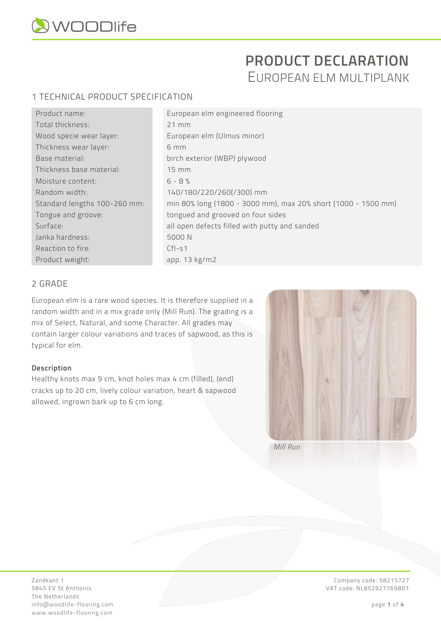

# **PRODUCT DECLARATION**  EUROPEAN ELM MULTIPLANK

# 1 TECHNICAL PRODUCT SPECIFICATION

| Product name:                | European elm engineered flooring                              |
|------------------------------|---------------------------------------------------------------|
| Total thickness:             | $21$ mm                                                       |
| Wood specie wear layer:      | European elm (Ulmus minor)                                    |
| Thickness wear layer:        | 6 mm                                                          |
| Base material:               | birch exterior (WBP) plywood                                  |
| Thickness base material:     | $15 \text{ mm}$                                               |
| Moisture content:            | $6 - 8%$                                                      |
| Random width:                | 140/180/220/260(/300) mm                                      |
| Standard lengths 100-260 mm: | min 80% long (1800 - 3000 mm), max 20% short (1000 - 1500 mm) |
| Tongue and groove:           | tongued and grooved on four sides                             |
| Surface:                     | all open defects filled with putty and sanded                 |
| Janka hardness:              | 5000 N                                                        |
| Reaction to fire:            | $Cfl-S1$                                                      |
| Product weight:              | app. 13 kg/m2                                                 |

# 2 GRADE

European elm is a rare wood species. It is therefore supplied in a random width and in a mix grade only (Mill Run). The grading is a mix of Select, Natural, and some Character. All grades may contain larger colour variations and traces of sapwood, as this is typical for elm.

#### **Description**

Healthy knots max 9 cm, knot holes max 4 cm (filled), (end) cracks up to 20 cm, lively colour variation, heart & sapwood allowed, ingrown bark up to 6 cm long.



*Mill Run*

The Netherlands info@woodlife-flooring.com page **1** of **4** www.woodlife-flooring.com

Zandkant 1 Company code: 58215727 VAT code: NL852927769B01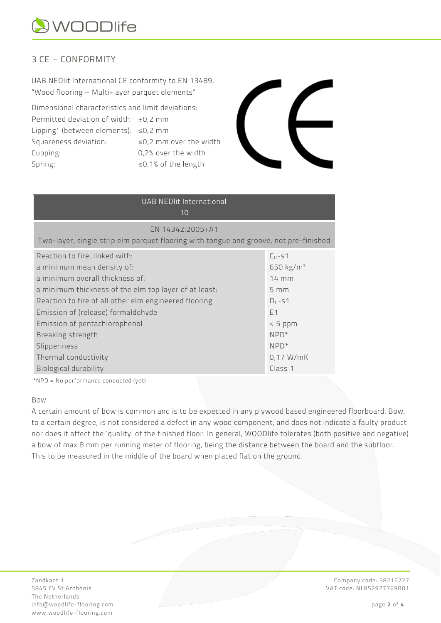

# 3 CE – CONFORMITY

UAB NEDlit International CE conformity to EN 13489, "Wood flooring – Multi-layer parquet elements"

Dimensional characteristics and limit deviations: Permitted deviation of width:  $\pm$ 0,2 mm Lipping\* (between elements): ≤0,2 mm Squareness deviation:  $\leq 0.2$  mm over the width Cupping: 0,2% over the width Spring: ≤0,1% of the length



| <b>UAB NEDlit International</b><br>10                                                                     |                  |  |  |  |  |  |
|-----------------------------------------------------------------------------------------------------------|------------------|--|--|--|--|--|
| EN 14342:2005+A1<br>Two-layer, single strip elm parquet flooring with tongue and groove, not pre-finished |                  |  |  |  |  |  |
| Reaction to fire, linked with:                                                                            | $C_{fl}$ -s1     |  |  |  |  |  |
| a minimum mean density of:                                                                                | 650 $kg/m^3$     |  |  |  |  |  |
| a minimum overall thickness of:                                                                           | 14 mm            |  |  |  |  |  |
| a minimum thickness of the elm top layer of at least:                                                     | $5 \, \text{mm}$ |  |  |  |  |  |
| Reaction to fire of all other elm engineered flooring                                                     | $D_{fl}$ -s1     |  |  |  |  |  |
| Emission of (release) formaldehyde                                                                        | E1               |  |  |  |  |  |
| Emission of pentachlorophenol                                                                             | $< 5$ ppm        |  |  |  |  |  |
| Breaking strength                                                                                         | $NPD*$           |  |  |  |  |  |
| Slipperiness                                                                                              | $NPD*$           |  |  |  |  |  |
| Thermal conductivity                                                                                      | 0,17 W/mK        |  |  |  |  |  |
| Biological durability                                                                                     | Class 1          |  |  |  |  |  |

\*NPD = No performance conducted (yet)

#### BOW

A certain amount of bow is common and is to be expected in any plywood based engineered floorboard. Bow, to a certain degree, is not considered a defect in any wood component, and does not indicate a faulty product nor does it affect the 'quality' of the finished floor. In general, WOODlife tolerates (both positive and negative) a bow of max 8 mm per running meter of flooring, being the distance between the board and the subfloor. This to be measured in the middle of the board when placed flat on the ground.

Zandkant 1 Company code: 58215727 The Netherlands info@woodlife-flooring.com page **2** of **4** www.woodlife-flooring.com

VAT code: NL852927769B01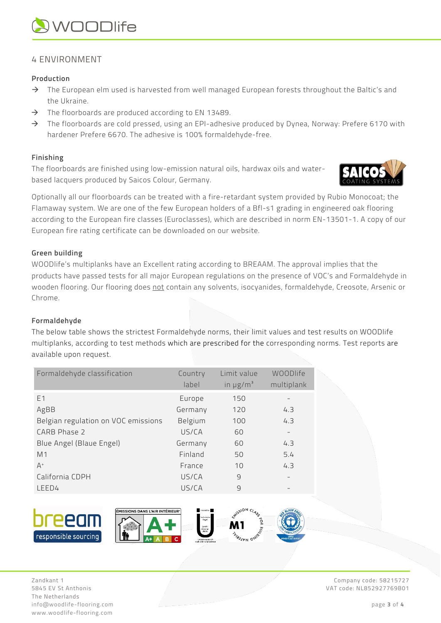# **OWOODlife**

### 4 ENVIRONMENT

#### **Production**

- $\rightarrow$  The European elm used is harvested from well managed European forests throughout the Baltic's and the Ukraine.
- $\rightarrow$  The floorboards are produced according to EN 13489.
- $\rightarrow$  The floorboards are cold pressed, using an EPI-adhesive produced by Dynea, Norway: Prefere 6170 with hardener Prefere 6670. The adhesive is 100% formaldehyde-free.

#### **Finishing**

The floorboards are finished using low-emission natural oils, hardwax oils and waterbased lacquers produced by Saicos Colour, Germany.



Optionally all our floorboards can be treated with a fire-retardant system provided by Rubio Monocoat; the Flamaway system. We are one of the few European holders of a Bfl-s1 grading in engineered oak flooring according to the European fire classes (Euroclasses), which are described in norm EN-13501-1. A copy of our European fire rating certificate can be downloaded on our website.

#### **Green building**

WOODlife's multiplanks have an Excellent rating according to BREAAM. The approval implies that the products have passed tests for all major European regulations on the presence of VOC's and Formaldehyde in wooden flooring. Our flooring does not contain any solvents, isocyanides, formaldehyde, Creosote, Arsenic or Chrome.

#### **Formaldehyde**

The below table shows the strictest Formaldehyde norms, their limit values and test results on WOODlife multiplanks, according to test methods which are prescribed for the corresponding norms. Test reports are available upon request.

| Formaldehyde classification         | Country<br>label | Limit value<br>in $\mu$ g/m <sup>3</sup> | <b>WOODlife</b><br>multiplank |
|-------------------------------------|------------------|------------------------------------------|-------------------------------|
| E1                                  | Europe           | 150                                      |                               |
| AgBB                                | Germany          | 120                                      | 4.3                           |
| Belgian regulation on VOC emissions | Belgium          | 100                                      | 4.3                           |
| CARB Phase 2                        | US/CA            | 60                                       |                               |
| Blue Angel (Blaue Engel)            | Germany          | 60                                       | 4.3                           |
| M <sub>1</sub>                      | Finland          | 50                                       | 5.4                           |
| $A^+$                               | France           | 10                                       | 4.3                           |
| California CDPH                     | US/CA            | 9                                        |                               |
| LEED4                               | US/CA            | 9                                        |                               |



Zandkant 1 Company code: 58215727 5845 EV St Anthonis VAT code: NL852927769B01 The Netherlands info@woodlife-flooring.com page **3** of **4** www.woodlife-flooring.com